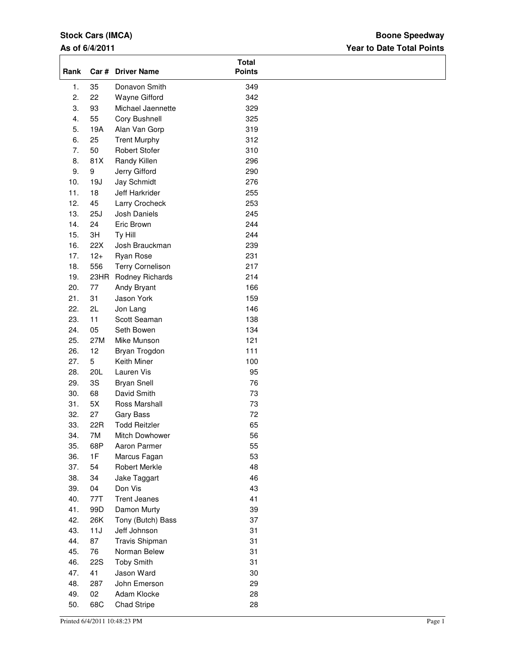### **Stock Cars (IMCA)**

### **As of 6/4/2011**

### **Year to Date Total Points Boone Speedway**

| Rank |            | Car # Driver Name       | <b>Total</b><br><b>Points</b> |  |
|------|------------|-------------------------|-------------------------------|--|
| 1.   | 35         | Donavon Smith           | 349                           |  |
| 2.   | 22         | Wayne Gifford           | 342                           |  |
| 3.   | 93         | Michael Jaennette       | 329                           |  |
| 4.   | 55         | Cory Bushnell           | 325                           |  |
| 5.   | 19A        | Alan Van Gorp           | 319                           |  |
| 6.   | 25         | <b>Trent Murphy</b>     | 312                           |  |
| 7.   | 50         | Robert Stofer           | 310                           |  |
| 8.   | 81X        | Randy Killen            | 296                           |  |
| 9.   | 9          | Jerry Gifford           | 290                           |  |
| 10.  | 19J        | Jay Schmidt             | 276                           |  |
| 11.  | 18         | Jeff Harkrider          | 255                           |  |
| 12.  | 45         | Larry Crocheck          | 253                           |  |
| 13.  | 25J        | Josh Daniels            | 245                           |  |
| 14.  | 24         | Eric Brown              | 244                           |  |
| 15.  | 3H         | Ty Hill                 | 244                           |  |
| 16.  | 22X        | Josh Brauckman          | 239                           |  |
| 17.  | $12+$      | Ryan Rose               | 231                           |  |
| 18.  | 556        | <b>Terry Cornelison</b> | 217                           |  |
| 19.  |            | 23HR Rodney Richards    | 214                           |  |
| 20.  | 77         | Andy Bryant             | 166                           |  |
| 21.  | 31         | Jason York              | 159                           |  |
| 22.  | 2L         | Jon Lang                | 146                           |  |
| 23.  | 11         | Scott Seaman            | 138                           |  |
| 24.  | 05         | Seth Bowen              | 134                           |  |
| 25.  | 27M        | Mike Munson             | 121                           |  |
| 26.  | 12         | Bryan Trogdon           | 111                           |  |
| 27.  | 5          | Keith Miner             | 100                           |  |
| 28.  | 20L        | Lauren Vis              | 95                            |  |
| 29.  | 3S         | <b>Bryan Snell</b>      | 76                            |  |
| 30.  | 68         | David Smith             | 73                            |  |
| 31.  | 5X         | Ross Marshall           | 73                            |  |
| 32.  | 27         | Gary Bass               | 72                            |  |
| 33.  | 22R        | <b>Todd Reitzler</b>    | 65                            |  |
| 34.  | 7M         | Mitch Dowhower          | 56                            |  |
| 35.  | 68P        | Aaron Parmer            | 55                            |  |
| 36.  | 1F         | Marcus Fagan            | 53                            |  |
| 37.  | 54         | Robert Merkle           | 48                            |  |
| 38.  | 34         | Jake Taggart            | 46                            |  |
| 39.  | 04         | Don Vis                 | 43                            |  |
| 40.  | 77T        | <b>Trent Jeanes</b>     | 41                            |  |
| 41.  | 99D        | Damon Murty             | 39                            |  |
| 42.  | 26K        | Tony (Butch) Bass       | 37                            |  |
| 43.  | 11J        | Jeff Johnson            | 31                            |  |
| 44.  | 87         | Travis Shipman          | 31                            |  |
| 45.  | 76         | Norman Belew            | 31                            |  |
| 46.  | <b>22S</b> | <b>Toby Smith</b>       | 31                            |  |
| 47.  | 41         | Jason Ward              | 30                            |  |
| 48.  | 287        | John Emerson            | 29                            |  |
| 49.  | 02         | Adam Klocke             | 28                            |  |
| 50.  | 68C        | <b>Chad Stripe</b>      | 28                            |  |